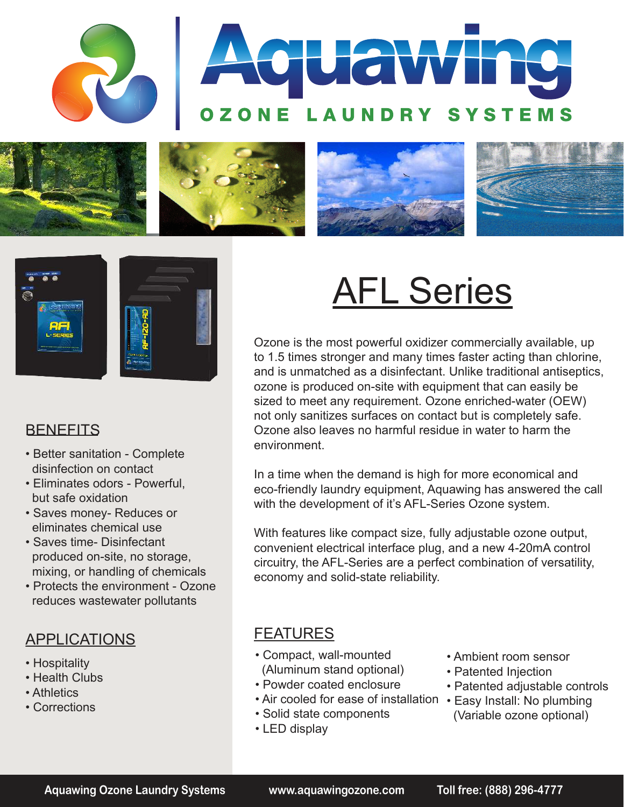







#### **BENEFITS**

- Better sanitation Complete disinfection on contact
- Eliminates odors Powerful, but safe oxidation
- Saves money- Reduces or eliminates chemical use
- Saves time- Disinfectant produced on-site, no storage, mixing, or handling of chemicals
- Protects the environment Ozone reduces wastewater pollutants

## APPLICATIONS

- Hospitality
- Health Clubs
- Athletics
- Corrections

# AFL Series

Ozone is the most powerful oxidizer commercially available, up to 1.5 times stronger and many times faster acting than chlorine, and is unmatched as a disinfectant. Unlike traditional antiseptics, ozone is produced on-site with equipment that can easily be sized to meet any requirement. Ozone enriched-water (OEW) not only sanitizes surfaces on contact but is completely safe. Ozone also leaves no harmful residue in water to harm the environment.

In a time when the demand is high for more economical and eco-friendly laundry equipment, Aquawing has answered the call with the development of it's AFL-Series Ozone system.

With features like compact size, fully adjustable ozone output, convenient electrical interface plug, and a new 4-20mA control circuitry, the AFL-Series are a perfect combination of versatility, economy and solid-state reliability.

## FEATURES

- Compact, wall-mounted (Aluminum stand optional)
- Powder coated enclosure
- Air cooled for ease of installation Easy Install: No plumbing
- Solid state components
- LED display
- Ambient room sensor
- Patented Injection
- Patented adjustable controls
- (Variable ozone optional)